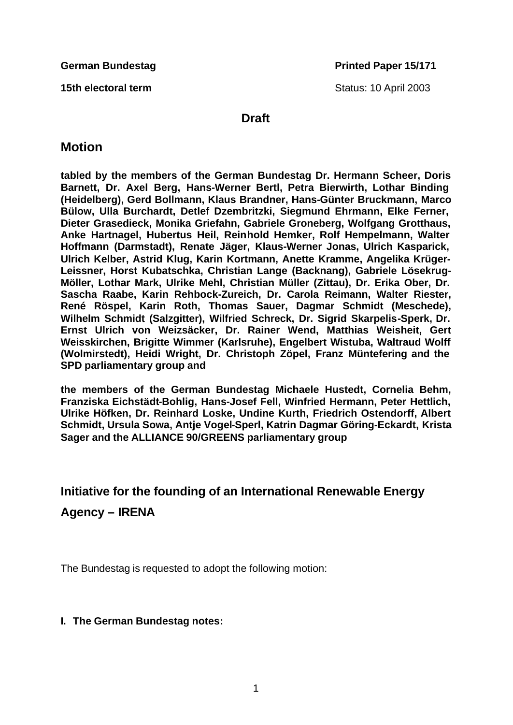**15th electoral term** Status: 10 April 2003

### **Draft**

## **Motion**

**tabled by the members of the German Bundestag Dr. Hermann Scheer, Doris Barnett, Dr. Axel Berg, Hans-Werner Bertl, Petra Bierwirth, Lothar Binding (Heidelberg), Gerd Bollmann, Klaus Brandner, Hans-Günter Bruckmann, Marco Bülow, Ulla Burchardt, Detlef Dzembritzki, Siegmund Ehrmann, Elke Ferner, Dieter Grasedieck, Monika Griefahn, Gabriele Groneberg, Wolfgang Grotthaus, Anke Hartnagel, Hubertus Heil, Reinhold Hemker, Rolf Hempelmann, Walter Hoffmann (Darmstadt), Renate Jäger, Klaus-Werner Jonas, Ulrich Kasparick, Ulrich Kelber, Astrid Klug, Karin Kortmann, Anette Kramme, Angelika Krüger-Leissner, Horst Kubatschka, Christian Lange (Backnang), Gabriele Lösekrug-Möller, Lothar Mark, Ulrike Mehl, Christian Müller (Zittau), Dr. Erika Ober, Dr. Sascha Raabe, Karin Rehbock-Zureich, Dr. Carola Reimann, Walter Riester, René Röspel, Karin Roth, Thomas Sauer, Dagmar Schmidt (Meschede), Wilhelm Schmidt (Salzgitter), Wilfried Schreck, Dr. Sigrid Skarpelis-Sperk, Dr. Ernst Ulrich von Weizsäcker, Dr. Rainer Wend, Matthias Weisheit, Gert Weisskirchen, Brigitte Wimmer (Karlsruhe), Engelbert Wistuba, Waltraud Wolff (Wolmirstedt), Heidi Wright, Dr. Christoph Zöpel, Franz Müntefering and the SPD parliamentary group and**

**the members of the German Bundestag Michaele Hustedt, Cornelia Behm, Franziska Eichstädt-Bohlig, Hans-Josef Fell, Winfried Hermann, Peter Hettlich, Ulrike Höfken, Dr. Reinhard Loske, Undine Kurth, Friedrich Ostendorff, Albert Schmidt, Ursula Sowa, Antje Vogel-Sperl, Katrin Dagmar Göring-Eckardt, Krista Sager and the ALLIANCE 90/GREENS parliamentary group**

# **Initiative for the founding of an International Renewable Energy Agency – IRENA**

The Bundestag is requested to adopt the following motion:

### **I. The German Bundestag notes:**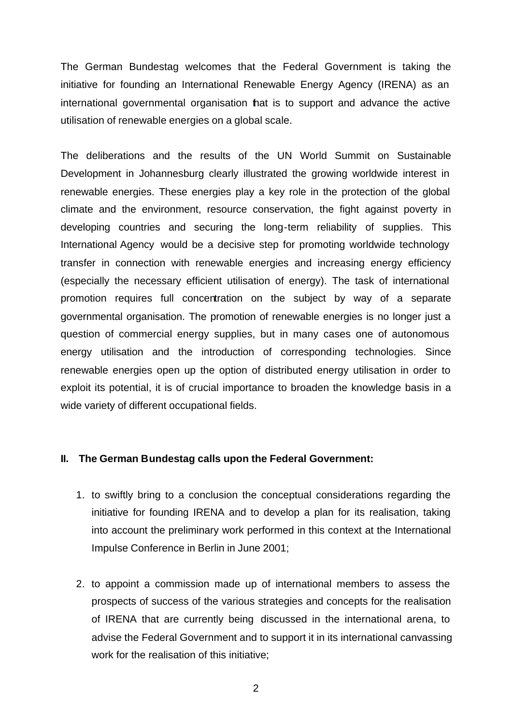The German Bundestag welcomes that the Federal Government is taking the initiative for founding an International Renewable Energy Agency (IRENA) as an international governmental organisation that is to support and advance the active utilisation of renewable energies on a global scale.

The deliberations and the results of the UN World Summit on Sustainable Development in Johannesburg clearly illustrated the growing worldwide interest in renewable energies. These energies play a key role in the protection of the global climate and the environment, resource conservation, the fight against poverty in developing countries and securing the long-term reliability of supplies. This International Agency would be a decisive step for promoting worldwide technology transfer in connection with renewable energies and increasing energy efficiency (especially the necessary efficient utilisation of energy). The task of international promotion requires full concentration on the subject by way of a separate governmental organisation. The promotion of renewable energies is no longer just a question of commercial energy supplies, but in many cases one of autonomous energy utilisation and the introduction of corresponding technologies. Since renewable energies open up the option of distributed energy utilisation in order to exploit its potential, it is of crucial importance to broaden the knowledge basis in a wide variety of different occupational fields.

#### **II. The German Bundestag calls upon the Federal Government:**

- 1. to swiftly bring to a conclusion the conceptual considerations regarding the initiative for founding IRENA and to develop a plan for its realisation, taking into account the preliminary work performed in this context at the International Impulse Conference in Berlin in June 2001;
- 2. to appoint a commission made up of international members to assess the prospects of success of the various strategies and concepts for the realisation of IRENA that are currently being discussed in the international arena, to advise the Federal Government and to support it in its international canvassing work for the realisation of this initiative;